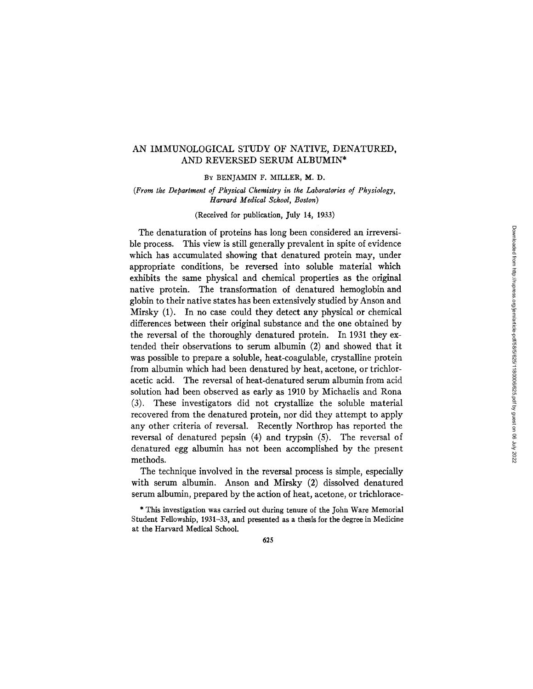# AN IMMUNOLOGICAL STUDY OF NATIVE, DENATURED, AND REVERSED SERUM ALBUMIN\*

BY BENJAMIN F. MILLER, M. D.

(From the Department of Physical Chemistry in the Laboratories of Physiology, *Harvard Medical Schod, Boston)* 

(Received for publication, July 14, 1933)

The denaturation of proteins has long been considered an irreversible process. This view is still generally prevalent in spite of evidence which has accumulated showing that denatured protein may, under appropriate conditions, be reversed into soluble material which exhibits the same physical and chemical properties as the original native protein. The transformation of denatured hemoglobin and globin to their native states has been extensively studied by Anson and Mirsky (1). In no case could they detect any physical or chemical differences between their original substance and the one obtained by the reversal of the thoroughly denatured protein. In 1931 they extended their observations to serum albumin (2) and showed that it was possible to prepare a soluble, heat-coagulable, crystalline protein from albumin which had been denatured by heat, acetone, or trichloracetic acid. The reversal of heat-denatured serum albumin from acid solution had been observed as early as 1910 by Michaelis and Rona (3). These investigators did not crystallize the soluble material recovered from the denatured protein, nor did they attempt to apply any other criteria of reversal. Recently Northrop has reported the reversal of denatured pepsin (4) and trypsin (5). The reversal of denatured egg albumin has not been accomplished by the present methods.

The technique involved in the reversal process is simple, especially with serum albumin. Anson and Mirsky (2) dissolved denatured serum albumin, prepared by the action of heat, acetone, or trichlorace-

\* This investigation was carried out during tenure of the John Ware Memorial Student Fellowship, 1931-33, and presented as a thesis for the degree in Medicine at the Harvard Medical School.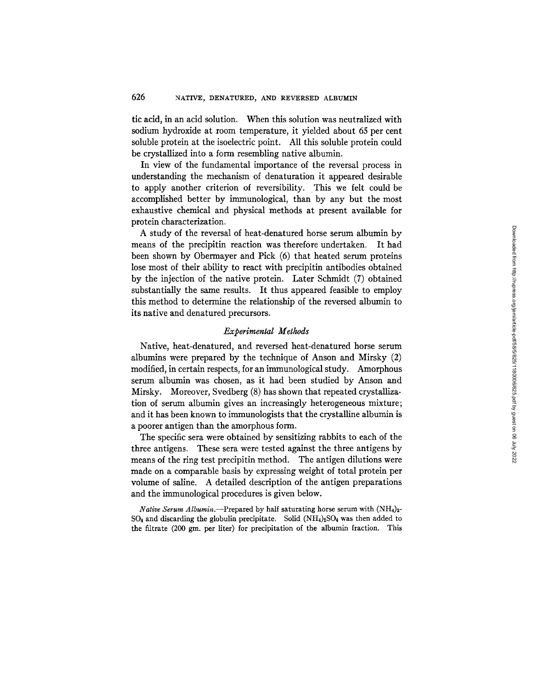tic acid, in an acid solution. When this solution was neutralized with sodium hydroxide at room temperature, it yielded about 65 per cent soluble protein at the isoelectric point. All this soluble protein could be crystallized into a form resembling native albumin.

In view of the fundamental importance of the reversal process in understanding the mechanism of denaturation it appeared desirable to apply another criterion of reversibility. This we felt could be accomplished better by immunological, than by any but the most exhaustive chemical and physical methods at present available for protein characterization.

A study of the reversal of heat-denatured horse serum albumin by means of the precipitin reaction was therefore undertaken. It had been shown by Obermayer and Pick (6) that heated serum proteins lose most of their ability to react with precipitin antibodies obtained by the injection of the native protein. Later Schmidt (7) obtained substantially the same results. It thus appeared feasible to employ this method to determine the relationship of the reversed albumin to its native and denatured precursors.

# *Experimental Methods*

Native, heat-denatured, and reversed heat-denatured horse serum albumins were prepared by the technique of Anson and Mirsky (2) modified, in certain respects, for an immunological study. Amorphous serum albumin was chosen, as it had been studied by Anson and Mirsky. Moreover, Svedberg (8) has shown that repeated crystallization of serum albumin gives an increasingly heterogeneous mixture; and it has been known to immunologists that the crystalline albumin is a poorer antigen than the amorphous form.

The specific sera were obtained by sensitizing rabbits to each of the three antigens. These sera were tested against the three antigens by means of the ring test precipitin method. The antigen dilutions were made on a comparable basis by expressing weight of total protein per volume of saline. A detailed description of the antigen preparations and the immunological procedures is given below.

*Native Serum Albumin.*--Prepared by half saturating horse serum with  $(NH_4)_{2}$ - $SO_4$  and discarding the globulin precipitate. Solid  $(NH_4)_2SO_4$  was then added to the filtrate  $(200 \text{ gm})$ . per liter) for precipitation of the albumin fraction. This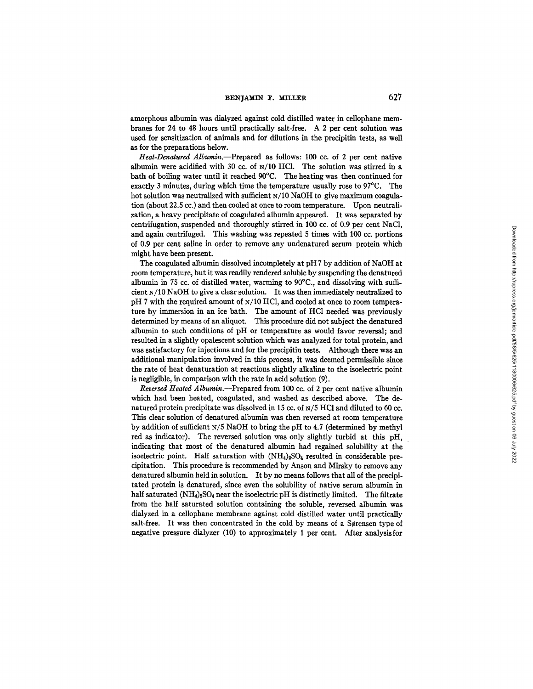amorphous albumin was dialyzed against cold distilled water in cellophane membranes for 24 to 48 hours until practically salt-free. A 2 per cent solution was used for sensitization of animals and for dilutions in the precipitin tests, as well as for the preparations below.

Heat-Denatured Albumin.--Prepared as follows: 100 cc. of 2 per cent native albumin were acidified with 30 cc. of N/10 HC1. The solution was stirred in a bath of boiling water until it reached 90°C. The heating was then continued for exactly 3 minutes, during which time the temperature usually rose to 97°C. The hot solution was neutralized with sufficient N/10 NaOH to give maximum coagulation (about 22.5 cc.) and then cooled at once to room temperature. Upon neutralization, a heavy precipitate of coagulated albumin appeared. It was separated by centrifugation, suspended and thoroughly stirred in 100 cc. of 0.9 per cent NaC1, and again centrifuged. This washing was repeated 5 times with 100 cc. portions of 0.9 per cent saline in order to remove any undenatured serum protein which might have been present.

The coagulated albumin dissolved incompletely at pH 7 by addition of NaOH at room temperature, but it was readily rendered soluble by suspending the denatured albumin in 75 cc. of distilled water, warming to 90°C., and dissolving with sufficient N/10 NaOH to give a clear solution. It was then immediately neutralized to pH 7 with the required amount of N/10 HC1, and cooled at once to room temperature by immersion in an ice bath. The amount of HCI needed was previously determined by means of an aliquot. This procedure did not subject the denatured albumin to such conditions of pH or temperature as would favor reversal; and resulted in a slightly opalescent solution which was analyzed for total protein, and was satisfactory for injections and for the precipitin tests. Although there was an additional manipulation involved in this process, it was deemed permissible since the rate of heat denaturation at reactions slightly alkaline to the isoelectric point is negligible, in comparison with the rate in acid solution (9).

*Reversed Heated Albumin.--Prepared* from 100 cc. of 2 per cent native albumin which had been heated, coagulated, and washed as described above. The denatured protein precipitate was dissolved in 15 cc. of N/5 HCI and diluted to 50 cc. This clear solution of denatured albumin was then reversed at room temperature by addition of sufficient N/5 NaOH to bring the pH to 4.7 (determined by methyl red as indicator). The reversed solution was only slightly turbid at this pH, indicating that most of the denatured albumin had regained solubility at the isoelectric point. Half saturation with  $(NH_4)_2SO_4$  resulted in considerable precipitation. This procedure is recommended by Anson and Mirsky to remove any denatured albumin held in solution. It by no means follows that all of the precipitated protein is denatured, since even the solubility of native serum albumin in half saturated  $(NH_4)_2SO_4$  near the isoelectric pH is distinctly limited. The filtrate from the half saturated solution containing the soluble, reversed albumin was dialyzed in a cellophane membrane against cold distilled water until practically salt-free. It was then concentrated in the cold by means of a Sørensen type of negative pressure dialyzer (10) to approximately 1 per cent. After analysis for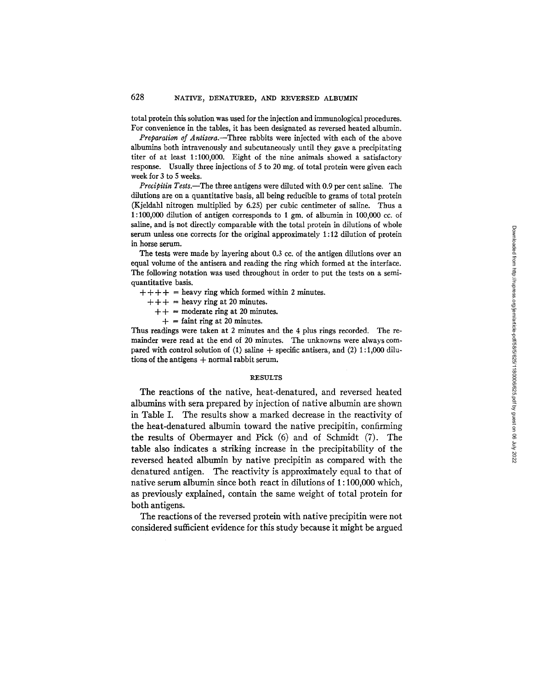total protein this solution was used for the injection and immunological procedures. For convenience in the tables, it has been designated as reversed heated albumin.

*Preparation of Antisera.--Three* rabbits were injected with each of the above albumins both intravenously and subcutaneously until they gave a precipitating titer of at least 1:100,000. Eight of the nine animals showed a satisfactory response. Usually three injections of 5 to 20 mg. of total protein were given each week for 3 to 5 weeks.

*Precipitin Tests.*—The three antigens were diluted with 0.9 per cent saline. The dilutions are on a quantitative basis, all being reducible to grams of total protein (Kjeldahl nitrogen multiplied by 6.25) per cubic centimeter of saline. Thus a 1:100,000 dilution of antigen corresponds to 1 gm. of albumin in  $100,000$  cc. of saline, and is not directly comparable with the total protein in dilutions of whole serum unless one corrects for the original approximately 1:12 dilution of protein in horse serum.

The tests were made by layering about 0.3 cc. of the antigen dilutions over an equal volume of the antisera and reading the ring which formed at the interface. The following notation was used throughout in order to put the tests on a semiquantitative basis.

- $+ + + +$  = heavy ring which formed within 2 minutes.
	- $++ +$  = heavy ring at 20 minutes.
		- $++$  = moderate ring at 20 minutes.
		- $+$  = faint ring at 20 minutes.

Thus readings were taken at 2 minutes and the 4 plus rings recorded. The remainder were read at the end of 20 minutes. The unknowns were always compared with control solution of (1) saline  $+$  specific antisera, and (2) 1:1,000 dilutions of the antigens  $+$  normal rabbit serum.

#### RESULTS

The reactions of the native, heat-denatured, and reversed heated albumins with sera prepared by injection Of native albumin are shown in Table I. The results show a marked decrease in the reactivity of the heat-denatured albumin toward the native precipitin, confirming the results of Obermayer and Pick (6) and of Schmidt (7). The table also indicates a striking increase in the precipitability of the reversed heated albumin by native precipitin as compared with the denatured antigen. The reactivity is approximately equal to that of native serum albumin since both react in dilutions of 1 : 100,000 which, as previously explained, contain the same weight of total protein for both antigens.

The reactions of the reversed protein with native precipitin were not considered sufficient evidence for this study because it might be argued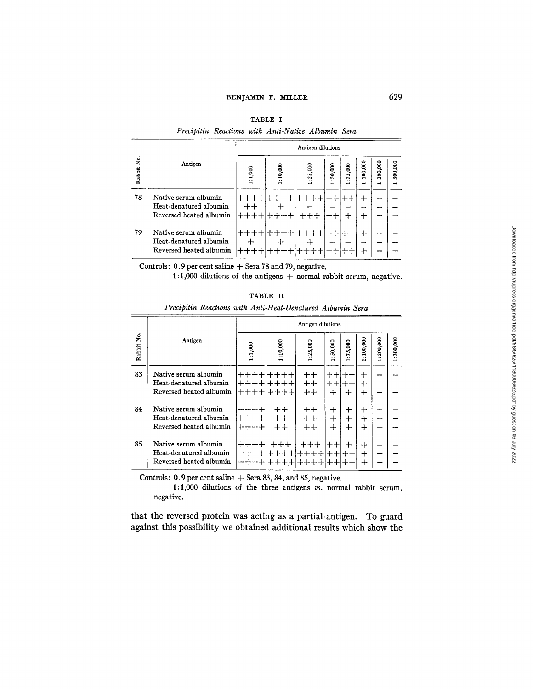|            |                                                                           | Antigen dilutions |          |          |            |                 |               |                                       |          |  |
|------------|---------------------------------------------------------------------------|-------------------|----------|----------|------------|-----------------|---------------|---------------------------------------|----------|--|
| Rabbit No. | Antigen                                                                   | 1:1,000           | 1:10,000 | : 25,000 | 50,000<br> | 5,000<br>r.<br> | 100,000<br>٠. | : 200,000<br>$\overline{\phantom{0}}$ | :300,000 |  |
| 78         | Native serum albumin<br>Heat-denatured albumin<br>Reversed heated albumin |                   |          | $+++$    |            | ÷               | ┿<br>ᆠ        |                                       |          |  |
| 79         | Native serum albumin<br>Heat-denatured albumin<br>Reversed heated albumin | ナナナナ              |          |          |            |                 | ┿<br>┿        | <b>STARTED</b>                        |          |  |

| TABLE I |  |  |
|---------|--|--|
|         |  |  |

*Precipitin Reactions with Anti-Native Albumin Sera* 

**Controls: 0.9 per cent saline + Sera 78 and 79, negative.** 

**1:1,000 dilutions of the antigens + normal rabbit serum, negative.** 

|            |                                                                           |                      |                         | Antigen dilutions                |                               |                        |                                |           |           |
|------------|---------------------------------------------------------------------------|----------------------|-------------------------|----------------------------------|-------------------------------|------------------------|--------------------------------|-----------|-----------|
| Rabbit No. | Antigen                                                                   | 1:1,000              | 1:10,000                | 1:25,000                         | 50,000<br>.:                  | 75,000<br>∺            | 1:100,000                      | 1:200,000 | 1:300,000 |
| 83         | Native serum albumin<br>Heat-denatured albumin<br>Reversed heated albumin | ┿┿┿┿<br>$++++-$      | ┿┿┿┿<br>$++++-$<br>┿┿┿┿ | $^{\mathrm{++}}$<br>$++$<br>$++$ | $^{\mathrm ++}$<br>$+ +$<br>┿ | ┿┿<br>$^+$<br>┿        | ┿<br>$\div$<br>$^{\mathrm{+}}$ |           |           |
| 84         | Native serum albumin<br>Heat-denatured albumin<br>Reversed heated albumin | ┿┿┿┿<br>╈┿╈┿<br>++++ | $^+$<br>$++$<br>$++$    | ᆠᆠ<br>$+ +$<br>$+ +$             | ┿<br>$+$<br>$+$               | $\pm$<br>$+$<br>$\div$ | ┿<br>$\div$<br>┿               |           |           |
| 85         | Native serum albumin<br>Heat-denatured albumin<br>Reversed heated albumin |                      |                         | ┿┿┿                              | $^{\mathrm{++}}$              | ┿                      | ┿<br>$\pm$<br>$+$              |           |           |

**TABLE II**  *Precipitin Reactions with Anti-Heat-Denatured Albumin Sera* 

**Controls: 0.9 per cent saline 4 Sera 83, 84, and 85, negative.** 

**1:1,000 dilutions of the three antigens** *vs.* **normal rabbit serum, negative.** 

**that the reversed protein was acting as a partial antigen. To guard against this possibility we obtained additional results which show the**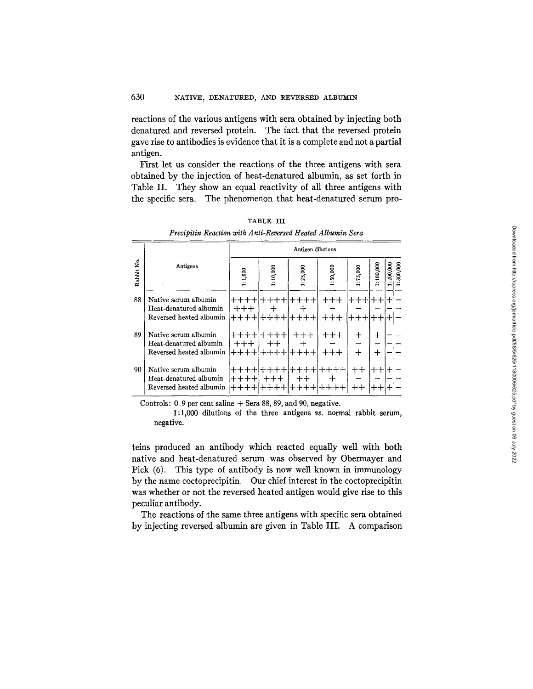reactions of the various antigens with sera obtained by injecting both denatured and reversed protein. The fact that the reversed protein gave rise to antibodies is evidence that it is a complete and not a partial antigen.

First let us consider the reactions of the three antigens with sera obtained by the injection of heat-denatured albumin, as set forth in Table II. They show an equal reactivity of all three antigens with the specific sera. The phenomenon that heat-denatured serum pro-

|            |                                                                           | Antigen dilutions |                         |                |              |                  |                        |                     |  |
|------------|---------------------------------------------------------------------------|-------------------|-------------------------|----------------|--------------|------------------|------------------------|---------------------|--|
| Rabbit No. | Antigens                                                                  | 1:1,000           | 1:10,000                | : 25,000       | :50,000      | :75,000          | :100,000               | 200,000<br>.300,000 |  |
| 88         | Native serum albumin<br>Heat-denatured albumin<br>Reversed heated albumin | $+ + +$<br>$++++$ | ++++                    | $++++-$        | +++<br>$+++$ | キキキ<br>十十十       | $^{\mathrm{++}}$<br>ᆠᆠ |                     |  |
| 89         | Native serum albumin<br>Heat-denatured albumin<br>Reversed heated albumin | $+++$<br>$++++-$  | キキキキ<br>┿┿<br>$+ + + +$ | ┿┿┿<br>$+++++$ | $+++$        | ┿<br>┿           | $\div$<br>┿            |                     |  |
| 90         | Native serum albumin<br>Heat-denatured albumin<br>Reversed heated albumin | ++++<br>$++++-$   | $++++$<br>┿┿┿           | $++$<br>ナナナナ   | ┵            | $^{\mathrm{++}}$ | ┿┿                     |                     |  |

TABLE III *Precipitin Reaction with Anti-Reversed Heated Albumin Sera* 

Controls:  $0.9$  per cent saline  $+$  Sera 88, 89, and 90, negative.

l:l,000 dilutions of the three antigens *vs.* normal rabbit serum, negative.

teins produced an antibody which reacted equally well with both native and heat-denatured serum was observed by Obermayer and Pick (6). This type of antibody is now well known in immunology by the name coctoprecipitin. Our chief interest in the coctoprecipitin was whether or not the reversed heated antigen would give rise to this peculiar antibody.

The reactions of the same three antigens with specific sera obtained by injecting reversed albumin are given in Table III. A comparison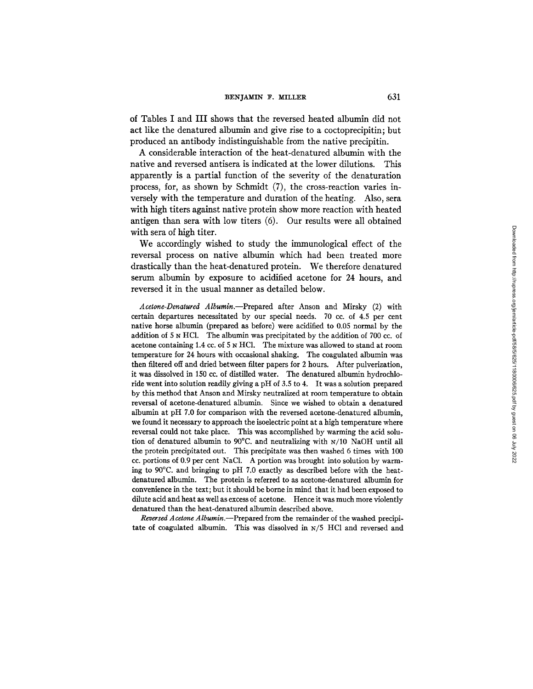### **BENJAMIN F. MILLER** 631

of Tables I and III shows that the reversed heated albumin did not act like the denatured albumin and give rise to a coctoprecipitin; but produced an antibody indistinguishable from the native precipitin.

A considerable interaction of the heat-denatured albumin with the native and reversed antisera is indicated at the lower dilutions. This apparently is a partial function of the severity of the denaturation process, for, as shown by Schmidt (7), the cross-reaction varies inversely with the temperature and duration of the heating. Also, sera with high titers against native protein show more reaction with heated antigen than sera with low titers (6). Our results were all obtained with sera of high titer.

We accordingly wished to study the immunological effect of the reversal process on native albumin which had been treated more drastically than the heat-denatured protein. We therefore denatured serum albumin by exposure to acidified acetone for 24 hours, and reversed it in the usual manner as detailed below.

*Acetone-Denatured Albumin.--Prepared* after Anson and Mirsky (2) with certain departures necessitated by our special needs. 70 cc. of 4.5 per cent native horse albumin (prepared as before) were acidified to 0.05 normal by the addition of 5 N HC1. The albumin was precipitated by the addition of 700 cc. of acetone containing 1.4 cc. of  $5 ~N$  HCl. The mixture was allowed to stand at room temperature for 24 hours with occasional shaking. The coagulated albumin was then filtered off and dried between filter papers for 2 hours. After pulverization, it was dissolved in 150 cc. of distilled water. The denatured albumin hydrochloride went into solution readily giving a pH of 3.5 to 4. It was a solution prepared by this method that Anson and Mirsky neutralized at room temperature to obtain reversal of acetone-denatured albumin. Since we wished to obtain a denatured albumin at pH 7.0 for comparison with the reversed acetone-denatured albumin, we found it necessary to approach the isoelectric point at a high temperature where reversal could not take place. This was accomplished by warming the acid solution of denatured albumin to 90°C. and neutralizing with N/10 NaOH until all the protein precipitated out. This precipitate was then washed 6 times with 100 cc. portions of 0.9 per cent NaC1. A portion was brought into solution by warming to 90°C. and bringing to pH 7.0 exactly as described before with the heatdenatured albumin. The protein is referred to as acetone-denatured albumin for convenience in the text; but it should be borne in mind that it had been exposed to dilute acid and heat as well as excess of acetone. Hence it was much more violently denatured than the heat-denatured albumin described above.

*Reversed Acetone A lbumin.--Prepared* from the remainder of the washed precipitate of coagulated albumin. This was dissolved in N/5 HC1 and reversed and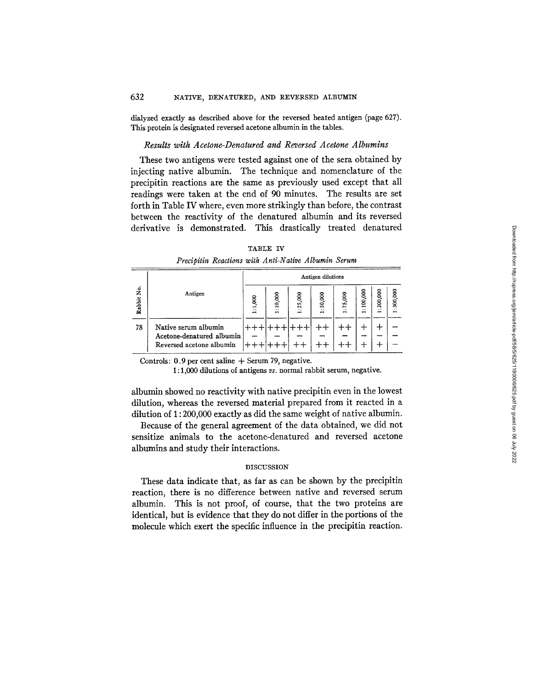dialyzed exactly as described above for the reversed heated antigen (page 627). This protein is designated reversed acetone albumin in the tables.

# *Results with Acetone-Denatured and Reversed Acetone Albumins*

These two antigens were tested against one of the sera obtained by injecting native albumin. The technique and nomenclature of the precipitin reactions are the same as previously used except that all readings were taken at the end of 90 minutes. The results are set forth in Table IV where, even more strikingly than before, the contrast between the reactivity of the denatured albumin and its reversed derivative is demonstrated. This drastically treated denatured

|--|--|

*Precipitin Reactions with Anti-Native Albumin Serum* 

|            |                                                                               | Antigen dilutions |                                     |                     |                              |                                |                                       |                                      |                                       |
|------------|-------------------------------------------------------------------------------|-------------------|-------------------------------------|---------------------|------------------------------|--------------------------------|---------------------------------------|--------------------------------------|---------------------------------------|
| Rabbit No. | Antigen                                                                       | 1:1,000           | :10,000<br>$\overline{\phantom{0}}$ | 25,000<br>$\cdot$ . | 50,000<br><br>$\blacksquare$ | 75,000<br>٠.<br>$\blacksquare$ | 100,000<br>$\ddot{\phantom{0}}$<br>жq | 200,000<br>$\ddot{\phantom{0}}$<br>- | g<br>SO.<br>$\ddot{\phantom{a}}$<br>- |
| 78         | Native serum albumin<br>Acetone-denatured albumin<br>Reversed acetone albumin |                   |                                     |                     |                              |                                |                                       |                                      |                                       |

Controls:  $0.9$  per cent saline  $+$  Serum 79, negative.

**1 :** 1,000 dilutions of antigens *vs.* normal rabbit serum, negative.

albumin showed no reactivity with native precipitin even in the lowest dilution, whereas the reversed material prepared from it reacted in a dilution of 1 : 200,000 exactly as did the same weight of native albumin.

Because of the general agreement of the data obtained, we did not sensitize animals to the acetone-denatured and reversed acetone albumins and study their interactions.

## DISCUSSION

These data indicate that, as far as can be shown by the precipitin reaction, there is no difference between native and reversed serum albumin. This is not proof, of course, that the two proteins are identical, but is evidence that they do not differ in the portions of the molecule which exert the specific influence in the precipitin reaction.